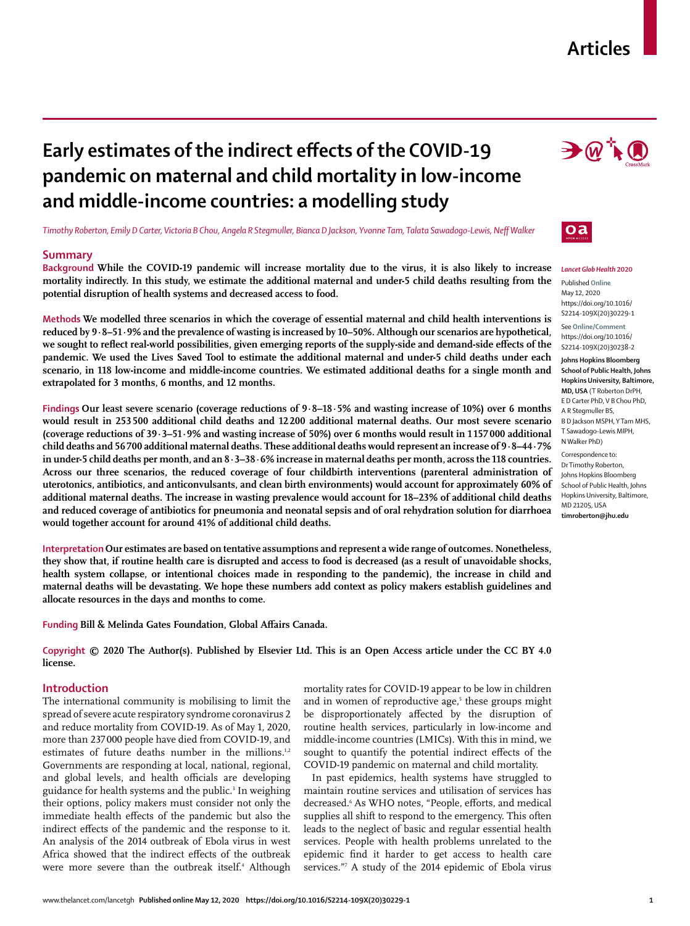## **Articles**

# **Early estimates of the indirect effects of the COVID-19 pandemic on maternal and child mortality in low-income and middle-income countries: a modelling study**

*Timothy Roberton, Emily D Carter, Victoria B Chou, Angela R Stegmuller, Bianca D Jackson, Yvonne Tam, Talata Sawadogo-Lewis, Neff Walker*

## **Summary**

**Background While the COVID-19 pandemic will increase mortality due to the virus, it is also likely to increase mortality indirectly. In this study, we estimate the additional maternal and under-5 child deaths resulting from the potential disruption of health systems and decreased access to food.**

**Methods We modelled three scenarios in which the coverage of essential maternal and child health interventions is reduced by 9·8–51·9% and the prevalence of wasting is increased by 10–50%. Although our scenarios are hypothetical, we sought to reflect real-world possibilities, given emerging reports of the supply-side and demand-side effects of the pandemic. We used the Lives Saved Tool to estimate the additional maternal and under-5 child deaths under each scenario, in 118 low-income and middle-income countries. We estimated additional deaths for a single month and extrapolated for 3 months, 6 months, and 12 months.**

**Findings Our least severe scenario (coverage reductions of 9·8–18·5% and wasting increase of 10%) over 6 months would result in 253 500 additional child deaths and 12 200 additional maternal deaths. Our most severe scenario (coverage reductions of 39·3–51·9% and wasting increase of 50%) over 6 months would result in 1 157 000 additional child deaths and 56 700 additional maternal deaths. These additional deaths would represent an increase of 9·8–44·7% in under-5 child deaths per month, and an 8·3–38·6% increase in maternal deaths per month, across the 118 countries. Across our three scenarios, the reduced coverage of four childbirth interventions (parenteral administration of uterotonics, antibiotics, and anticonvulsants, and clean birth environments) would account for approximately 60% of additional maternal deaths. The increase in wasting prevalence would account for 18–23% of additional child deaths and reduced coverage of antibiotics for pneumonia and neonatal sepsis and of oral rehydration solution for diarrhoea would together account for around 41% of additional child deaths.**

**Interpretation Our estimates are based on tentative assumptions and represent a wide range of outcomes. Nonetheless, they show that, if routine health care is disrupted and access to food is decreased (as a result of unavoidable shocks, health system collapse, or intentional choices made in responding to the pandemic), the increase in child and maternal deaths will be devastating. We hope these numbers add context as policy makers establish guidelines and allocate resources in the days and months to come.**

**Funding Bill & Melinda Gates Foundation, Global Affairs Canada.**

**Copyright © 2020 The Author(s). Published by Elsevier Ltd. This is an Open Access article under the CC BY 4.0 license.**

## **Introduction**

The international community is mobilising to limit the spread of severe acute respiratory syndrome coronavirus 2 and reduce mortality from COVID-19. As of May 1, 2020, more than 237 000 people have died from COVID-19, and estimates of future deaths number in the millions.<sup>1,2</sup> Governments are responding at local, national, regional, and global levels, and health officials are developing guidance for health systems and the public.<sup>3</sup> In weighing their options, policy makers must consider not only the immediate health effects of the pandemic but also the indirect effects of the pandemic and the response to it. An analysis of the 2014 outbreak of Ebola virus in west Africa showed that the indirect effects of the outbreak were more severe than the outbreak itself.<sup>4</sup> Although mortality rates for COVID-19 appear to be low in children and in women of reproductive age,<sup>5</sup> these groups might be disproportionately affected by the disruption of routine health services, particularly in low-income and middle-income countries (LMICs). With this in mind, we sought to quantify the potential indirect effects of the COVID-19 pandemic on maternal and child mortality.

In past epidemics, health systems have struggled to maintain routine services and utilisation of services has decreased.<sup>6</sup> As WHO notes, "People, efforts, and medical supplies all shift to respond to the emergency. This often leads to the neglect of basic and regular essential health services. People with health problems unrelated to the epidemic find it harder to get access to health care services."7 A study of the 2014 epidemic of Ebola virus





*Lancet Glob Health* **2020** Published **Online**

May 12, 2020 https://doi.org/10.1016/ S2214-109X(20)30229-1

See **Online/Comment** https://doi.org/10.1016/ S2214-109X(20)30238-2

**Johns Hopkins Bloomberg School of Public Health, Johns Hopkins University, Baltimore, MD, USA** (T Roberton DrPH, E D Carter PhD, V B Chou PhD, A R Stegmuller BS, B D Jackson MSPH, Y Tam MHS, T Sawadogo-Lewis MIPH, N Walker PhD)

Correspondence to: Dr Timothy Roberton, Johns Hopkins Bloomberg School of Public Health, Johns Hopkins University, Baltimore, MD 21205, USA **timroberton@jhu.edu**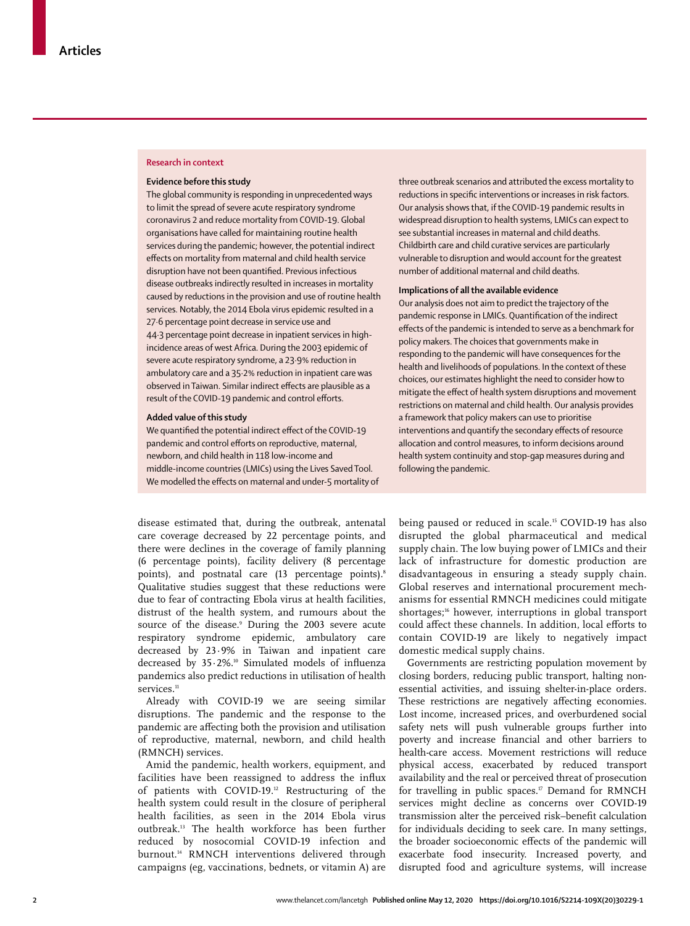#### **Research in context**

#### **Evidence before this study**

The global community is responding in unprecedented ways to limit the spread of severe acute respiratory syndrome coronavirus 2 and reduce mortality from COVID-19. Global organisations have called for maintaining routine health services during the pandemic; however, the potential indirect effects on mortality from maternal and child health service disruption have not been quantified. Previous infectious disease outbreaks indirectly resulted in increases in mortality caused by reductions in the provision and use of routine health services. Notably, the 2014 Ebola virus epidemic resulted in a 27·6 percentage point decrease in service use and 44·3 percentage point decrease in inpatient services in highincidence areas of west Africa. During the 2003 epidemic of severe acute respiratory syndrome, a 23·9% reduction in ambulatory care and a 35·2% reduction in inpatient care was observed in Taiwan. Similar indirect effects are plausible as a result of the COVID-19 pandemic and control efforts.

#### **Added value of this study**

We quantified the potential indirect effect of the COVID-19 pandemic and control efforts on reproductive, maternal, newborn, and child health in 118 low-income and middle-income countries (LMICs) using the Lives Saved Tool. We modelled the effects on maternal and under-5 mortality of

disease estimated that, during the outbreak, antenatal care coverage decreased by 22 percentage points, and there were declines in the coverage of family planning (6 percentage points), facility delivery (8 percentage points), and postnatal care (13 percentage points).<sup>8</sup> Qualitative studies suggest that these reductions were due to fear of contracting Ebola virus at health facilities, distrust of the health system, and rumours about the source of the disease.<sup>9</sup> During the 2003 severe acute respiratory syndrome epidemic, ambulatory care decreased by 23·9% in Taiwan and inpatient care decreased by 35.2%.<sup>10</sup> Simulated models of influenza pandemics also predict reductions in utilisation of health services.<sup>11</sup>

Already with COVID-19 we are seeing similar disruptions. The pandemic and the response to the pandemic are affecting both the provision and utilisation of reproductive, maternal, newborn, and child health (RMNCH) services.

Amid the pandemic, health workers, equipment, and facilities have been reassigned to address the influx of patients with COVID-19.12 Restructuring of the health system could result in the closure of peripheral health facilities, as seen in the 2014 Ebola virus outbreak.13 The health workforce has been further reduced by nosocomial COVID-19 infection and burnout.14 RMNCH interventions delivered through campaigns (eg, vaccinations, bednets, or vitamin A) are

three outbreak scenarios and attributed the excess mortality to reductions in specific interventions or increases in risk factors. Our analysis shows that, if the COVID-19 pandemic results in widespread disruption to health systems, LMICs can expect to see substantial increases in maternal and child deaths. Childbirth care and child curative services are particularly vulnerable to disruption and would account for the greatest number of additional maternal and child deaths.

#### **Implications of all the available evidence**

Our analysis does not aim to predict the trajectory of the pandemic response in LMICs. Quantification of the indirect effects of the pandemic is intended to serve as a benchmark for policy makers. The choices that governments make in responding to the pandemic will have consequences for the health and livelihoods of populations. In the context of these choices, our estimates highlight the need to consider how to mitigate the effect of health system disruptions and movement restrictions on maternal and child health. Our analysis provides a framework that policy makers can use to prioritise interventions and quantify the secondary effects of resource allocation and control measures, to inform decisions around health system continuity and stop-gap measures during and following the pandemic.

being paused or reduced in scale.15 COVID-19 has also disrupted the global pharmaceutical and medical supply chain. The low buying power of LMICs and their lack of infrastructure for domestic production are disadvantageous in ensuring a steady supply chain. Global reserves and international procurement mechanisms for essential RMNCH medicines could mitigate shortages;<sup>16</sup> however, interruptions in global transport could affect these channels. In addition, local efforts to contain COVID-19 are likely to negatively impact domestic medical supply chains.

Governments are restricting population movement by closing borders, reducing public transport, halting nonessential activities, and issuing shelter-in-place orders. These restrictions are negatively affecting economies. Lost income, increased prices, and overburdened social safety nets will push vulnerable groups further into poverty and increase financial and other barriers to health-care access. Movement restrictions will reduce physical access, exacerbated by reduced transport availability and the real or perceived threat of prosecution for travelling in public spaces.<sup>17</sup> Demand for RMNCH services might decline as concerns over COVID-19 transmission alter the perceived risk–benefit calculation for individuals deciding to seek care. In many settings, the broader socioeconomic effects of the pandemic will exacerbate food insecurity. Increased poverty, and disrupted food and agriculture systems, will increase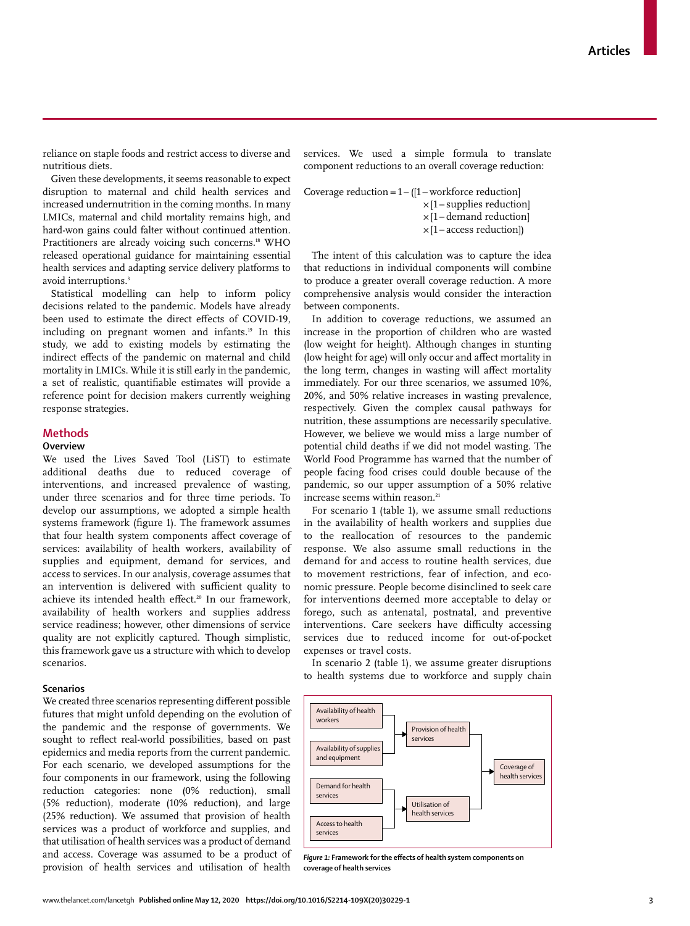reliance on staple foods and restrict access to diverse and nutritious diets.

Given these developments, it seems reasonable to expect disruption to maternal and child health services and increased undernutrition in the coming months. In many LMICs, maternal and child mortality remains high, and hard-won gains could falter without continued attention. Practitioners are already voicing such concerns.<sup>18</sup> WHO released operational guidance for maintaining essential health services and adapting service delivery platforms to avoid interruptions.<sup>3</sup>

Statistical modelling can help to inform policy decisions related to the pandemic. Models have already been used to estimate the direct effects of COVID-19, including on pregnant women and infants.19 In this study, we add to existing models by estimating the indirect effects of the pandemic on maternal and child mortality in LMICs. While it is still early in the pandemic, a set of realistic, quantifiable estimates will provide a reference point for decision makers currently weighing response strategies.

## **Methods**

### **Overview**

We used the Lives Saved Tool (LiST) to estimate additional deaths due to reduced coverage of interventions, and increased prevalence of wasting, under three scenarios and for three time periods. To develop our assumptions, we adopted a simple health systems framework (figure 1). The framework assumes that four health system components affect coverage of services: availability of health workers, availability of supplies and equipment, demand for services, and access to services. In our analysis, coverage assumes that an intervention is delivered with sufficient quality to achieve its intended health effect.<sup>20</sup> In our framework, availability of health workers and supplies address service readiness; however, other dimensions of service quality are not explicitly captured. Though simplistic, this framework gave us a structure with which to develop scenarios.

## **Scenarios**

We created three scenarios representing different possible futures that might unfold depending on the evolution of the pandemic and the response of governments. We sought to reflect real-world possibilities, based on past epidemics and media reports from the current pandemic. For each scenario, we developed assumptions for the four components in our framework, using the following reduction categories: none (0% reduction), small (5% reduction), moderate (10% reduction), and large (25% reduction). We assumed that provision of health services was a product of workforce and supplies, and that utilisation of health services was a product of demand and access. Coverage was assumed to be a product of provision of health services and utilisation of health

services. We used a simple formula to translate component reductions to an overall coverage reduction:

Coverage reduction =  $1 - ([1 - \text{workforce reduction}]$  $\times$ [1 – supplies reduction]  $\times$ [1 – demand reduction]  $\times$ [1 – access reduction])

The intent of this calculation was to capture the idea that reductions in individual components will combine to produce a greater overall coverage reduction. A more comprehensive analysis would consider the interaction between components.

In addition to coverage reductions, we assumed an increase in the proportion of children who are wasted (low weight for height). Although changes in stunting (low height for age) will only occur and affect mortality in the long term, changes in wasting will affect mortality immediately. For our three scenarios, we assumed 10%, 20%, and 50% relative increases in wasting prevalence, respectively. Given the complex causal pathways for nutrition, these assumptions are necessarily speculative. However, we believe we would miss a large number of potential child deaths if we did not model wasting. The World Food Programme has warned that the number of people facing food crises could double because of the pandemic, so our upper assumption of a 50% relative increase seems within reason.<sup>21</sup>

For scenario 1 (table 1), we assume small reductions in the availability of health workers and supplies due to the reallocation of resources to the pandemic response. We also assume small reductions in the demand for and access to routine health services, due to movement restrictions, fear of infection, and economic pressure. People become disinclined to seek care for interventions deemed more acceptable to delay or forego, such as antenatal, postnatal, and preventive interventions. Care seekers have difficulty accessing services due to reduced income for out-of-pocket expenses or travel costs.

In scenario 2 (table 1), we assume greater disruptions to health systems due to workforce and supply chain



*Figure 1:* **Framework for the effects of health system components on coverage of health services**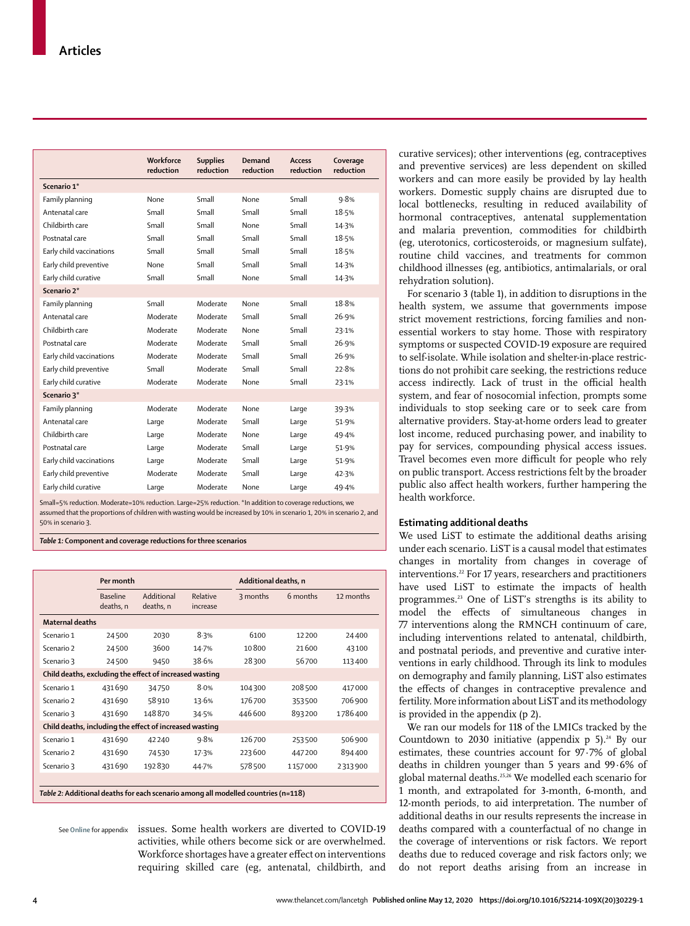|                          | Workforce<br>reduction | <b>Supplies</b><br>reduction | Demand<br>reduction | Access<br>reduction | Coverage<br>reduction |
|--------------------------|------------------------|------------------------------|---------------------|---------------------|-----------------------|
| Scenario 1*              |                        |                              |                     |                     |                       |
| Family planning          | None                   | Small                        | None                | Small               | 9.8%                  |
| Antenatal care           | Small                  | Small                        | Small               | Small               | 18.5%                 |
| Childbirth care          | Small                  | Small                        | None                | Small               | 14.3%                 |
| Postnatal care           | Small                  | Small                        | Small               | Small               | 18.5%                 |
| Early child vaccinations | Small                  | Small                        | Small               | Small               | 18.5%                 |
| Early child preventive   | None                   | Small                        | Small               | Small               | 14.3%                 |
| Early child curative     | Small                  | Small                        | None                | Small               | 14.3%                 |
| Scenario 2*              |                        |                              |                     |                     |                       |
| Family planning          | Small                  | Moderate                     | None                | Small               | 18.8%                 |
| Antenatal care           | Moderate               | Moderate                     | Small               | Small               | 26.9%                 |
| Childbirth care          | Moderate               | Moderate                     | None                | Small               | 23.1%                 |
| Postnatal care           | Moderate               | Moderate                     | Small               | Small               | 26.9%                 |
| Early child vaccinations | Moderate               | Moderate                     | Small               | Small               | 26.9%                 |
| Early child preventive   | Small                  | Moderate                     | Small               | Small               | 22.8%                 |
| Early child curative     | Moderate               | Moderate                     | None                | Small               | 23.1%                 |
| Scenario 3*              |                        |                              |                     |                     |                       |
| Family planning          | Moderate               | Moderate                     | None                | Large               | 39.3%                 |
| Antenatal care           | Large                  | Moderate                     | Small               | Large               | 51.9%                 |
| Childbirth care          | Large                  | Moderate                     | None                | Large               | 49.4%                 |
| Postnatal care           | Large                  | Moderate                     | Small               | Large               | 51.9%                 |
| Early child vaccinations | Large                  | Moderate                     | Small               | Large               | 51.9%                 |
| Early child preventive   | Moderate               | Moderate                     | Small               | Large               | 42.3%                 |
| Early child curative     | Large                  | Moderate                     | None                | Large               | 49.4%                 |
|                          |                        |                              |                     |                     |                       |

Small=5% reduction. Moderate=10% reduction. Large=25% reduction. \*In addition to coverage reductions, we assumed that the proportions of children with wasting would be increased by 10% in scenario 1, 20% in scenario 2, and 50% in scenario 3.

*Table 1:* **Component and coverage reductions for three scenarios**

|                                                         | Per month                    |                         |                      |          | Additional deaths, n |           |  |
|---------------------------------------------------------|------------------------------|-------------------------|----------------------|----------|----------------------|-----------|--|
|                                                         | <b>Baseline</b><br>deaths, n | Additional<br>deaths, n | Relative<br>increase | 3 months | 6 months             | 12 months |  |
| <b>Maternal deaths</b>                                  |                              |                         |                      |          |                      |           |  |
| Scenario 1                                              | 24500                        | 2030                    | 8.3%                 | 6100     | 12200                | 24400     |  |
| Scenario 2                                              | 24500                        | 3600                    | 14.7%                | 10800    | 21600                | 43100     |  |
| Scenario 3                                              | 24500                        | 9450                    | 38.6%                | 28300    | 56700                | 113400    |  |
| Child deaths, excluding the effect of increased wasting |                              |                         |                      |          |                      |           |  |
| Scenario 1                                              | 431690                       | 34750                   | 8.0%                 | 104300   | 208500               | 417000    |  |
| Scenario 2                                              | 431690                       | 58910                   | 13.6%                | 176700   | 353500               | 706 900   |  |
| Scenario 3                                              | 431690                       | 148870                  | 34.5%                | 446 600  | 893200               | 1786400   |  |
| Child deaths, including the effect of increased wasting |                              |                         |                      |          |                      |           |  |
| Scenario 1                                              | 431690                       | 42240                   | 9.8%                 | 126700   | 253500               | 506900    |  |
| Scenario 2                                              | 431690                       | 74530                   | 17.3%                | 223600   | 447200               | 894400    |  |
| Scenario 3                                              | 431690                       | 192830                  | 44.7%                | 578500   | 1157000              | 2313900   |  |
|                                                         |                              |                         |                      |          |                      |           |  |

See **Online** for appendix

issues. Some health workers are diverted to COVID-19 activities, while others become sick or are overwhelmed. Workforce shortages have a greater effect on interventions requiring skilled care (eg, antenatal, childbirth, and curative services); other interventions (eg, contraceptives and preventive services) are less dependent on skilled workers and can more easily be provided by lay health workers. Domestic supply chains are disrupted due to local bottlenecks, resulting in reduced availability of hormonal contraceptives, antenatal supplementation and malaria prevention, commodities for childbirth (eg, uterotonics, corticosteroids, or magnesium sulfate), routine child vaccines, and treatments for common childhood illnesses (eg, antibiotics, antimalarials, or oral rehydration solution).

For scenario 3 (table 1), in addition to disruptions in the health system, we assume that governments impose strict movement restrictions, forcing families and nonessential workers to stay home. Those with respiratory symptoms or suspected COVID-19 exposure are required to self-isolate. While isolation and shelter-in-place restrictions do not prohibit care seeking, the restrictions reduce access indirectly. Lack of trust in the official health system, and fear of nosocomial infection, prompts some individuals to stop seeking care or to seek care from alternative providers. Stay-at-home orders lead to greater lost income, reduced purchasing power, and inability to pay for services, compounding physical access issues. Travel becomes even more difficult for people who rely on public transport. Access restrictions felt by the broader public also affect health workers, further hampering the health workforce.

## **Estimating additional deaths**

We used LiST to estimate the additional deaths arising under each scenario. LiST is a causal model that estimates changes in mortality from changes in coverage of interventions.<sup>22</sup> For 17 years, researchers and practitioners have used LiST to estimate the impacts of health programmes.23 One of LiST's strengths is its ability to model the effects of simultaneous changes in 77 interventions along the RMNCH continuum of care, including interventions related to antenatal, childbirth, and postnatal periods, and preventive and curative interventions in early childhood. Through its link to modules on demography and family planning, LiST also estimates the effects of changes in contraceptive prevalence and fertility. More information about LiST and its methodology is provided in the appendix (p 2).

We ran our models for 118 of the LMICs tracked by the Countdown to 2030 initiative (appendix  $p$  5).<sup>24</sup> By our estimates, these countries account for 97·7% of global deaths in children younger than 5 years and 99·6% of global maternal deaths.25,26 We modelled each scenario for 1 month, and extrapolated for 3-month, 6-month, and 12-month periods, to aid interpretation. The number of additional deaths in our results represents the increase in deaths compared with a counterfactual of no change in the coverage of interventions or risk factors. We report deaths due to reduced coverage and risk factors only; we do not report deaths arising from an increase in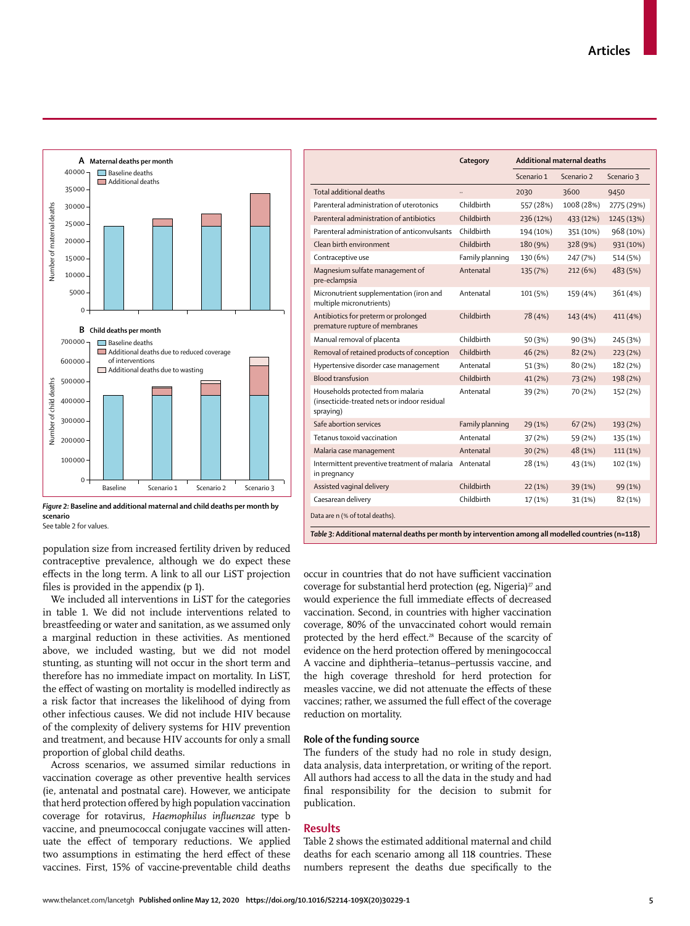

*Figure 2:* **Baseline and additional maternal and child deaths per month by scenario** See table 2 for values.

population size from increased fertility driven by reduced contraceptive prevalence, although we do expect these effects in the long term. A link to all our LiST projection files is provided in the appendix (p 1).

We included all interventions in LiST for the categories in table 1. We did not include interventions related to breastfeeding or water and sanitation, as we assumed only a marginal reduction in these activities. As mentioned above, we included wasting, but we did not model stunting, as stunting will not occur in the short term and therefore has no immediate impact on mortality. In LiST, the effect of wasting on mortality is modelled indirectly as a risk factor that increases the likelihood of dying from other infectious causes. We did not include HIV because of the complexity of delivery systems for HIV prevention and treatment, and because HIV accounts for only a small proportion of global child deaths.

Across scenarios, we assumed similar reductions in vaccination coverage as other preventive health services (ie, antenatal and postnatal care). However, we anticipate that herd protection offered by high population vaccination coverage for rotavirus, *Haemophilus influenzae* type b vaccine, and pneumococcal conjugate vaccines will attenuate the effect of temporary reductions. We applied two assumptions in estimating the herd effect of these vaccines. First, 15% of vaccine-preventable child deaths

|                                                                                                                                       | Category        | <b>Additional maternal deaths</b> |            |            |
|---------------------------------------------------------------------------------------------------------------------------------------|-----------------|-----------------------------------|------------|------------|
|                                                                                                                                       |                 | Scenario 1                        | Scenario 2 | Scenario 3 |
| Total additional deaths                                                                                                               |                 | 2030                              | 3600       | 9450       |
| Parenteral administration of uterotonics                                                                                              | Childbirth      | 557 (28%)                         | 1008 (28%) | 2775 (29%) |
| Parenteral administration of antibiotics                                                                                              | Childbirth      | 236 (12%)                         | 433 (12%)  | 1245 (13%) |
| Parenteral administration of anticonvulsants                                                                                          | Childbirth      | 194 (10%)                         | 351 (10%)  | 968 (10%)  |
| Clean birth environment                                                                                                               | Childbirth      | 180 (9%)                          | 328 (9%)   | 931 (10%)  |
| Contraceptive use                                                                                                                     | Family planning | 130 (6%)                          | 247 (7%)   | 514 (5%)   |
| Magnesium sulfate management of<br>pre-eclampsia                                                                                      | Antenatal       | 135 (7%)                          | 212 (6%)   | 483 (5%)   |
| Micronutrient supplementation (iron and<br>multiple micronutrients)                                                                   | Antenatal       | 101 (5%)                          | 159 (4%)   | 361 (4%)   |
| Antibiotics for preterm or prolonged<br>premature rupture of membranes                                                                | Childbirth      | 78 (4%)                           | 143 (4%)   | 411 (4%)   |
| Manual removal of placenta                                                                                                            | Childbirth      | 50 (3%)                           | 90 (3%)    | 245 (3%)   |
| Removal of retained products of conception                                                                                            | Childbirth      | 46 (2%)                           | 82(2%)     | 223 (2%)   |
| Hypertensive disorder case management                                                                                                 | Antenatal       | 51 (3%)                           | 80 (2%)    | 182 (2%)   |
| <b>Blood transfusion</b>                                                                                                              | Childbirth      | 41 (2%)                           | 73 (2%)    | 198 (2%)   |
| Households protected from malaria<br>(insecticide-treated nets or indoor residual<br>spraying)                                        | Antenatal       | 39 (2%)                           | 70 (2%)    | 152 (2%)   |
| Safe abortion services                                                                                                                | Family planning | 29 (1%)                           | 67(2%)     | 193 (2%)   |
| Tetanus toxoid vaccination                                                                                                            | Antenatal       | 37(2%)                            | 59 (2%)    | 135 (1%)   |
| Malaria case management                                                                                                               | Antenatal       | 30(2%)                            | 48 (1%)    | 111(1%)    |
| Intermittent preventive treatment of malaria Antenatal<br>in pregnancy                                                                |                 | 28(1%)                            | 43 (1%)    | 102 (1%)   |
| Assisted vaginal delivery                                                                                                             | Childbirth      | 22(1%)                            | 39 (1%)    | 99 (1%)    |
| Caesarean delivery                                                                                                                    | Childbirth      | 17 (1%)                           | 31(1%)     | 82 (1%)    |
| Data are n (% of total deaths).<br>Table 3: Additional maternal deaths per month by intervention among all modelled countries (n=118) |                 |                                   |            |            |

occur in countries that do not have sufficient vaccination coverage for substantial herd protection (eg, Nigeria) $<sup>27</sup>$  and</sup> would experience the full immediate effects of decreased vaccination. Second, in countries with higher vaccination coverage, 80% of the unvaccinated cohort would remain protected by the herd effect.<sup>28</sup> Because of the scarcity of evidence on the herd protection offered by meningococcal A vaccine and diphtheria–tetanus–pertussis vaccine, and the high coverage threshold for herd protection for measles vaccine, we did not attenuate the effects of these vaccines; rather, we assumed the full effect of the coverage reduction on mortality.

## **Role of the funding source**

The funders of the study had no role in study design, data analysis, data interpretation, or writing of the report. All authors had access to all the data in the study and had final responsibility for the decision to submit for publication.

#### **Results**

Table 2 shows the estimated additional maternal and child deaths for each scenario among all 118 countries. These numbers represent the deaths due specifically to the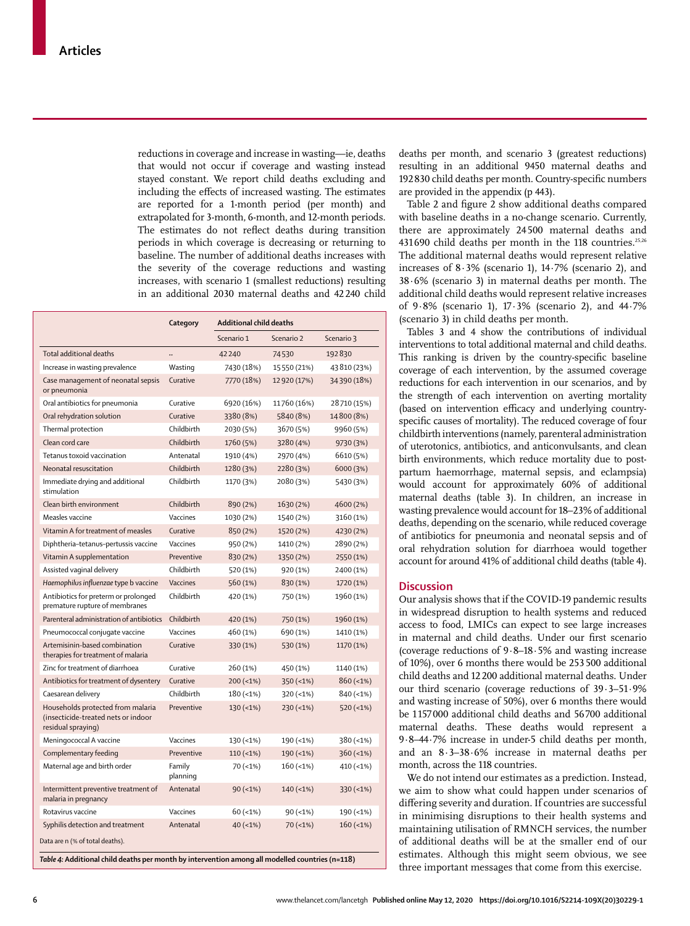reductions in coverage and increase in wasting—ie, deaths that would not occur if coverage and wasting instead stayed constant. We report child deaths excluding and including the effects of increased wasting. The estimates are reported for a 1-month period (per month) and extrapolated for 3-month, 6-month, and 12-month periods. The estimates do not reflect deaths during transition periods in which coverage is decreasing or returning to baseline. The number of additional deaths increases with the severity of the coverage reductions and wasting increases, with scenario 1 (smallest reductions) resulting in an additional 2030 maternal deaths and 42240 child

|                                                                                                        | Category           | <b>Additional child deaths</b> |              |             |  |
|--------------------------------------------------------------------------------------------------------|--------------------|--------------------------------|--------------|-------------|--|
|                                                                                                        |                    | Scenario 1                     | Scenario 2   | Scenario 3  |  |
| Total additional deaths                                                                                |                    | 42240                          | 74530        | 192830      |  |
| Increase in wasting prevalence                                                                         | Wasting            | 7430 (18%)                     | 15550 (21%)  | 43810 (23%) |  |
| Case management of neonatal sepsis<br>or pneumonia                                                     | Curative           | 7770 (18%)                     | 12 920 (17%) | 34390 (18%) |  |
| Oral antibiotics for pneumonia                                                                         | Curative           | 6920 (16%)                     | 11760 (16%)  | 28710 (15%) |  |
| Oral rehydration solution                                                                              | Curative           | 3380 (8%)                      | 5840 (8%)    | 14800 (8%)  |  |
| Thermal protection                                                                                     | Childbirth         | 2030 (5%)                      | 3670 (5%)    | 9960 (5%)   |  |
| Clean cord care                                                                                        | Childbirth         | 1760 (5%)                      | 3280 (4%)    | 9730 (3%)   |  |
| Tetanus toxoid vaccination                                                                             | Antenatal          | 1910 (4%)                      | 2970 (4%)    | 6610 (5%)   |  |
| Neonatal resuscitation                                                                                 | Childbirth         | 1280 (3%)                      | 2280 (3%)    | 6000 (3%)   |  |
| Immediate drying and additional<br>stimulation                                                         | Childbirth         | 1170 (3%)                      | 2080 (3%)    | 5430 (3%)   |  |
| Clean birth environment                                                                                | Childbirth         | 890 (2%)                       | 1630 (2%)    | 4600 (2%)   |  |
| Measles vaccine                                                                                        | Vaccines           | 1030 (2%)                      | 1540 (2%)    | 3160 (1%)   |  |
| Vitamin A for treatment of measles                                                                     | Curative           | 850 (2%)                       | 1520 (2%)    | 4230 (2%)   |  |
| Diphtheria-tetanus-pertussis vaccine                                                                   | Vaccines           | 950 (2%)                       | 1410 (2%)    | 2890 (2%)   |  |
| Vitamin A supplementation                                                                              | Preventive         | 830 (2%)                       | 1350 (2%)    | 2550 (1%)   |  |
| Assisted vaginal delivery                                                                              | Childbirth         | 520 (1%)                       | 920 (1%)     | 2400 (1%)   |  |
| Haemophilus influenzae type b vaccine                                                                  | Vaccines           | 560 (1%)                       | 830 (1%)     | 1720 (1%)   |  |
| Antibiotics for preterm or prolonged<br>premature rupture of membranes                                 | Childbirth         | 420 (1%)                       | 750 (1%)     | 1960 (1%)   |  |
| Parenteral administration of antibiotics                                                               | Childbirth         | 420 (1%)                       | 750 (1%)     | 1960 (1%)   |  |
| Pneumococcal conjugate vaccine                                                                         | Vaccines           | 460 (1%)                       | 690 (1%)     | 1410 (1%)   |  |
| Artemisinin-based combination<br>therapies for treatment of malaria                                    | Curative           | 330 (1%)                       | 530 (1%)     | 1170 (1%)   |  |
| Zinc for treatment of diarrhoea                                                                        | Curative           | 260 (1%)                       | 450 (1%)     | 1140 (1%)   |  |
| Antibiotics for treatment of dysentery                                                                 | Curative           | $200 (-1%)$                    | $350 (-1%)$  | $860(-1%)$  |  |
| Caesarean delivery                                                                                     | Childbirth         | $180 (-1%)$                    | $320 (-1%)$  | $840 (-1%)$ |  |
| Households protected from malaria<br>(insecticide-treated nets or indoor<br>residual spraying)         | Preventive         | $130 (-1%)$                    | $230 (-1%)$  | $520 (-1%)$ |  |
| Meningococcal A vaccine                                                                                | Vaccines           | $130 (-1%)$                    | 190 (<1%)    | $380 (-1%)$ |  |
| Complementary feeding                                                                                  | Preventive         | $110 (-1%)$                    | $190 (-1%)$  | $360 (-1%)$ |  |
| Maternal age and birth order                                                                           | Family<br>planning | 70 (<1%)                       | $160 (-1%)$  | 410 (<1%)   |  |
| Intermittent preventive treatment of<br>malaria in pregnancy                                           | Antenatal          | $90 (-1%)$                     | $140 (-1%)$  | $330(-1%)$  |  |
| Rotavirus vaccine                                                                                      | Vaccines           | $60 (-1%)$                     | $90 (-1%)$   | 190 (<1%)   |  |
| Syphilis detection and treatment<br>Data are n (% of total deaths).                                    | Antenatal          | 40 (<1%)                       | 70 (<1%)     | $160 (-1%)$ |  |
| (n=118) Table 4: Additional child deaths per month by intervention among all modelled countries (n=118 |                    |                                |              |             |  |

deaths per month, and scenario 3 (greatest reductions) resulting in an additional 9450 maternal deaths and 192830 child deaths per month. Country-specific numbers are provided in the appendix (p 443).

Table 2 and figure 2 show additional deaths compared with baseline deaths in a no-change scenario. Currently, there are approximately 24 500 maternal deaths and 431690 child deaths per month in the 118 countries.<sup>25,26</sup> The additional maternal deaths would represent relative increases of 8·3% (scenario 1), 14·7% (scenario 2), and 38·6% (scenario 3) in maternal deaths per month. The additional child deaths would represent relative increases of 9·8% (scenario 1), 17·3% (scenario 2), and 44·7% (scenario 3) in child deaths per month.

Tables 3 and 4 show the contributions of individual interventions to total additional maternal and child deaths. This ranking is driven by the country-specific baseline coverage of each intervention, by the assumed coverage reductions for each intervention in our scenarios, and by the strength of each intervention on averting mortality (based on intervention efficacy and underlying countryspecific causes of mortality). The reduced coverage of four childbirth interventions (namely, parenteral administration of uterotonics, antibiotics, and anticonvulsants, and clean birth environments, which reduce mortality due to postpartum haemorrhage, maternal sepsis, and eclampsia) would account for approximately 60% of additional maternal deaths (table 3). In children, an increase in wasting prevalence would account for 18–23% of additional deaths, depending on the scenario, while reduced coverage of antibiotics for pneumonia and neonatal sepsis and of oral rehydration solution for diarrhoea would together account for around 41% of additional child deaths (table 4).

## **Discussion**

Our analysis shows that if the COVID-19 pandemic results in widespread disruption to health systems and reduced access to food, LMICs can expect to see large increases in maternal and child deaths. Under our first scenario (coverage reductions of 9·8–18·5% and wasting increase of 10%), over 6 months there would be 253500 additional child deaths and 12200 additional maternal deaths. Under our third scenario (coverage reductions of 39·3–51·9% and wasting increase of 50%), over 6 months there would be 1 157000 additional child deaths and 56700 additional maternal deaths. These deaths would represent a 9·8–44·7% increase in under-5 child deaths per month, and an 8·3–38·6% increase in maternal deaths per month, across the 118 countries.

We do not intend our estimates as a prediction. Instead, we aim to show what could happen under scenarios of differing severity and duration. If countries are successful in minimising disruptions to their health systems and maintaining utilisation of RMNCH services, the number of additional deaths will be at the smaller end of our estimates. Although this might seem obvious, we see three important messages that come from this exercise.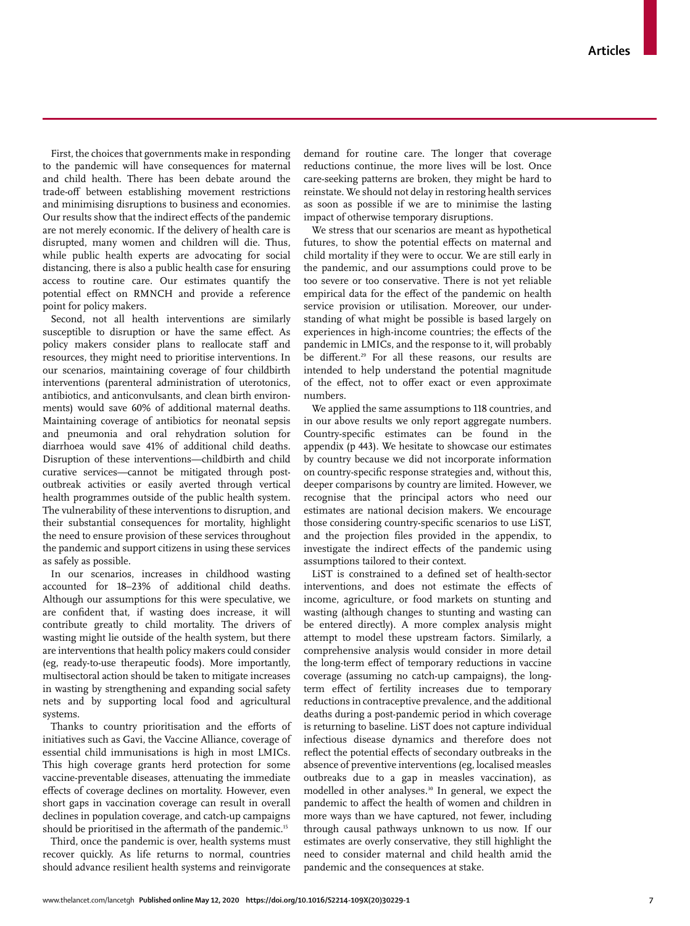First, the choices that governments make in responding to the pandemic will have consequences for maternal and child health. There has been debate around the trade-off between establishing movement restrictions and minimising disruptions to business and economies. Our results show that the indirect effects of the pandemic are not merely economic. If the delivery of health care is disrupted, many women and children will die. Thus, while public health experts are advocating for social distancing, there is also a public health case for ensuring access to routine care. Our estimates quantify the potential effect on RMNCH and provide a reference point for policy makers.

Second, not all health interventions are similarly susceptible to disruption or have the same effect. As policy makers consider plans to reallocate staff and resources, they might need to prioritise interventions. In our scenarios, maintaining coverage of four childbirth interventions (parenteral administration of uterotonics, antibiotics, and anticonvulsants, and clean birth environments) would save 60% of additional maternal deaths. Maintaining coverage of antibiotics for neonatal sepsis and pneumonia and oral rehydration solution for diarrhoea would save 41% of additional child deaths. Disruption of these interventions—childbirth and child curative services—cannot be mitigated through postoutbreak activities or easily averted through vertical health programmes outside of the public health system. The vulnerability of these interventions to disruption, and their substantial consequences for mortality, highlight the need to ensure provision of these services throughout the pandemic and support citizens in using these services as safely as possible.

In our scenarios, increases in childhood wasting accounted for 18–23% of additional child deaths. Although our assumptions for this were speculative, we are confident that, if wasting does increase, it will contribute greatly to child mortality. The drivers of wasting might lie outside of the health system, but there are interventions that health policy makers could consider (eg, ready-to-use therapeutic foods). More importantly, multisectoral action should be taken to mitigate increases in wasting by strengthening and expanding social safety nets and by supporting local food and agricultural systems.

Thanks to country prioritisation and the efforts of initiatives such as Gavi, the Vaccine Alliance, coverage of essential child immunisations is high in most LMICs. This high coverage grants herd protection for some vaccine-preventable diseases, attenuating the immediate effects of coverage declines on mortality. However, even short gaps in vaccination coverage can result in overall declines in population coverage, and catch-up campaigns should be prioritised in the aftermath of the pandemic.<sup>15</sup>

Third, once the pandemic is over, health systems must recover quickly. As life returns to normal, countries should advance resilient health systems and reinvigorate demand for routine care. The longer that coverage reductions continue, the more lives will be lost. Once care-seeking patterns are broken, they might be hard to reinstate. We should not delay in restoring health services as soon as possible if we are to minimise the lasting impact of otherwise temporary disruptions.

We stress that our scenarios are meant as hypothetical futures, to show the potential effects on maternal and child mortality if they were to occur. We are still early in the pandemic, and our assumptions could prove to be too severe or too conservative. There is not yet reliable empirical data for the effect of the pandemic on health service provision or utilisation. Moreover, our understanding of what might be possible is based largely on experiences in high-income countries; the effects of the pandemic in LMICs, and the response to it, will probably be different.<sup>29</sup> For all these reasons, our results are intended to help understand the potential magnitude of the effect, not to offer exact or even approximate numbers.

We applied the same assumptions to 118 countries, and in our above results we only report aggregate numbers. Country-specific estimates can be found in the appendix (p 443). We hesitate to showcase our estimates by country because we did not incorporate information on country-specific response strategies and, without this, deeper comparisons by country are limited. However, we recognise that the principal actors who need our estimates are national decision makers. We encourage those considering country-specific scenarios to use LiST, and the projection files provided in the appendix, to investigate the indirect effects of the pandemic using assumptions tailored to their context.

LiST is constrained to a defined set of health-sector interventions, and does not estimate the effects of income, agriculture, or food markets on stunting and wasting (although changes to stunting and wasting can be entered directly). A more complex analysis might attempt to model these upstream factors. Similarly, a comprehensive analysis would consider in more detail the long-term effect of temporary reductions in vaccine coverage (assuming no catch-up campaigns), the longterm effect of fertility increases due to temporary reductions in contraceptive prevalence, and the additional deaths during a post-pandemic period in which coverage is returning to baseline. LiST does not capture individual infectious disease dynamics and therefore does not reflect the potential effects of secondary outbreaks in the absence of preventive interventions (eg, localised measles outbreaks due to a gap in measles vaccination), as modelled in other analyses.<sup>30</sup> In general, we expect the pandemic to affect the health of women and children in more ways than we have captured, not fewer, including through causal pathways unknown to us now. If our estimates are overly conservative, they still highlight the need to consider maternal and child health amid the pandemic and the consequences at stake.